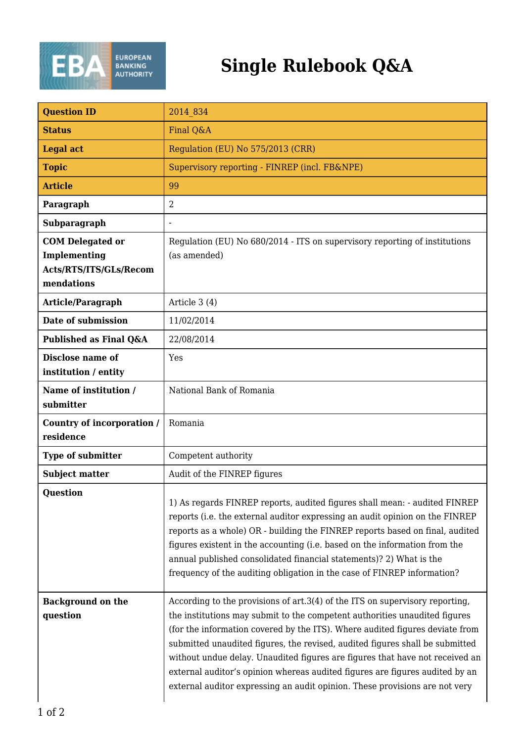

## **Single Rulebook Q&A**

| <b>Question ID</b>                                                              | 2014 834                                                                                                                                                                                                                                                                                                                                                                                                                                                                                                                                                                  |
|---------------------------------------------------------------------------------|---------------------------------------------------------------------------------------------------------------------------------------------------------------------------------------------------------------------------------------------------------------------------------------------------------------------------------------------------------------------------------------------------------------------------------------------------------------------------------------------------------------------------------------------------------------------------|
| <b>Status</b>                                                                   | Final Q&A                                                                                                                                                                                                                                                                                                                                                                                                                                                                                                                                                                 |
| <b>Legal act</b>                                                                | Regulation (EU) No 575/2013 (CRR)                                                                                                                                                                                                                                                                                                                                                                                                                                                                                                                                         |
| <b>Topic</b>                                                                    | Supervisory reporting - FINREP (incl. FB&NPE)                                                                                                                                                                                                                                                                                                                                                                                                                                                                                                                             |
| <b>Article</b>                                                                  | 99                                                                                                                                                                                                                                                                                                                                                                                                                                                                                                                                                                        |
| Paragraph                                                                       | 2                                                                                                                                                                                                                                                                                                                                                                                                                                                                                                                                                                         |
| Subparagraph                                                                    |                                                                                                                                                                                                                                                                                                                                                                                                                                                                                                                                                                           |
| <b>COM Delegated or</b><br>Implementing<br>Acts/RTS/ITS/GLs/Recom<br>mendations | Regulation (EU) No 680/2014 - ITS on supervisory reporting of institutions<br>(as amended)                                                                                                                                                                                                                                                                                                                                                                                                                                                                                |
| Article/Paragraph                                                               | Article 3 (4)                                                                                                                                                                                                                                                                                                                                                                                                                                                                                                                                                             |
| Date of submission                                                              | 11/02/2014                                                                                                                                                                                                                                                                                                                                                                                                                                                                                                                                                                |
| Published as Final Q&A                                                          | 22/08/2014                                                                                                                                                                                                                                                                                                                                                                                                                                                                                                                                                                |
| Disclose name of<br>institution / entity                                        | Yes                                                                                                                                                                                                                                                                                                                                                                                                                                                                                                                                                                       |
| Name of institution /<br>submitter                                              | National Bank of Romania                                                                                                                                                                                                                                                                                                                                                                                                                                                                                                                                                  |
| Country of incorporation /<br>residence                                         | Romania                                                                                                                                                                                                                                                                                                                                                                                                                                                                                                                                                                   |
| Type of submitter                                                               | Competent authority                                                                                                                                                                                                                                                                                                                                                                                                                                                                                                                                                       |
| <b>Subject matter</b>                                                           | Audit of the FINREP figures                                                                                                                                                                                                                                                                                                                                                                                                                                                                                                                                               |
| <b>Ouestion</b>                                                                 | 1) As regards FINREP reports, audited figures shall mean: - audited FINREP<br>reports (i.e. the external auditor expressing an audit opinion on the FINREP<br>reports as a whole) OR - building the FINREP reports based on final, audited<br>figures existent in the accounting (i.e. based on the information from the<br>annual published consolidated financial statements)? 2) What is the<br>frequency of the auditing obligation in the case of FINREP information?                                                                                                |
| <b>Background on the</b><br>question                                            | According to the provisions of art.3(4) of the ITS on supervisory reporting,<br>the institutions may submit to the competent authorities unaudited figures<br>(for the information covered by the ITS). Where audited figures deviate from<br>submitted unaudited figures, the revised, audited figures shall be submitted<br>without undue delay. Unaudited figures are figures that have not received an<br>external auditor's opinion whereas audited figures are figures audited by an<br>external auditor expressing an audit opinion. These provisions are not very |